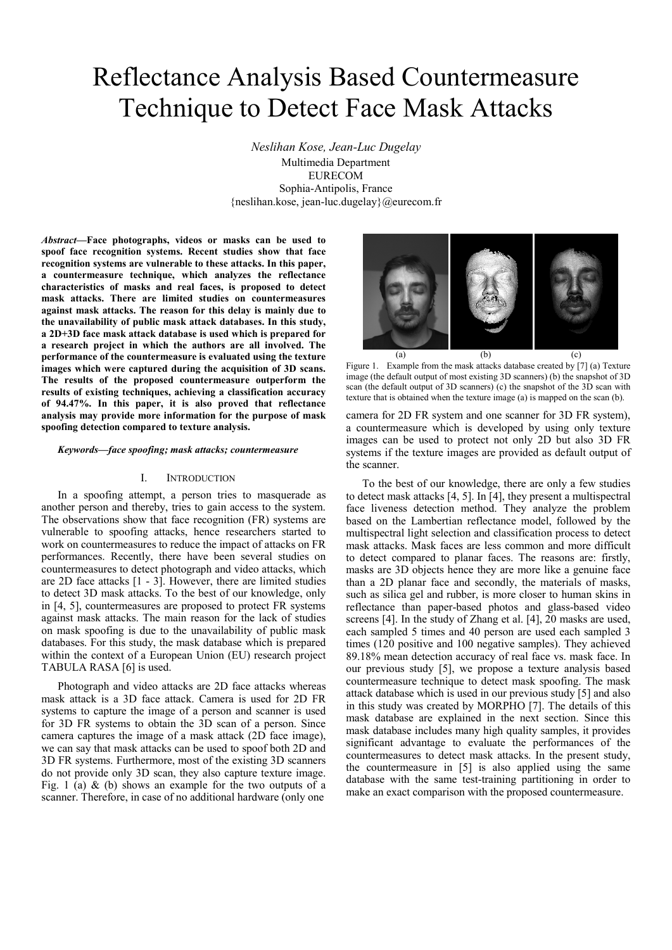# Reflectance Analysis Based Countermeasure Technique to Detect Face Mask Attacks

*Neslihan Kose, Jean-Luc Dugelay* 

Multimedia Department EURECOM Sophia-Antipolis, France {neslihan.kose, jean-luc.dugelay}@eurecom.fr

*Abstract***—Face photographs, videos or masks can be used to spoof face recognition systems. Recent studies show that face recognition systems are vulnerable to these attacks. In this paper, a countermeasure technique, which analyzes the reflectance characteristics of masks and real faces, is proposed to detect mask attacks. There are limited studies on countermeasures against mask attacks. The reason for this delay is mainly due to the unavailability of public mask attack databases. In this study, a 2D+3D face mask attack database is used which is prepared for a research project in which the authors are all involved. The performance of the countermeasure is evaluated using the texture images which were captured during the acquisition of 3D scans. The results of the proposed countermeasure outperform the results of existing techniques, achieving a classification accuracy of 94.47%. In this paper, it is also proved that reflectance analysis may provide more information for the purpose of mask spoofing detection compared to texture analysis.** 

#### *Keywords—face spoofing; mask attacks; countermeasure*

#### I. INTRODUCTION

In a spoofing attempt, a person tries to masquerade as another person and thereby, tries to gain access to the system. The observations show that face recognition (FR) systems are vulnerable to spoofing attacks, hence researchers started to work on countermeasures to reduce the impact of attacks on FR performances. Recently, there have been several studies on countermeasures to detect photograph and video attacks, which are 2D face attacks [1 - 3]. However, there are limited studies to detect 3D mask attacks. To the best of our knowledge, only in [4, 5], countermeasures are proposed to protect FR systems against mask attacks. The main reason for the lack of studies on mask spoofing is due to the unavailability of public mask databases. For this study, the mask database which is prepared within the context of a European Union (EU) research project TABULA RASA [6] is used.

Photograph and video attacks are 2D face attacks whereas mask attack is a 3D face attack. Camera is used for 2D FR systems to capture the image of a person and scanner is used for 3D FR systems to obtain the 3D scan of a person. Since camera captures the image of a mask attack (2D face image), we can say that mask attacks can be used to spoof both 2D and 3D FR systems. Furthermore, most of the existing 3D scanners do not provide only 3D scan, they also capture texture image. Fig. 1 (a)  $\&$  (b) shows an example for the two outputs of a scanner. Therefore, in case of no additional hardware (only one



Figure 1. Example from the mask attacks database created by [7] (a) Texture image (the default output of most existing 3D scanners) (b) the snapshot of 3D scan (the default output of 3D scanners) (c) the snapshot of the 3D scan with texture that is obtained when the texture image (a) is mapped on the scan (b).

camera for 2D FR system and one scanner for 3D FR system), a countermeasure which is developed by using only texture images can be used to protect not only 2D but also 3D FR systems if the texture images are provided as default output of the scanner.

To the best of our knowledge, there are only a few studies to detect mask attacks [4, 5]. In [4], they present a multispectral face liveness detection method. They analyze the problem based on the Lambertian reflectance model, followed by the multispectral light selection and classification process to detect mask attacks. Mask faces are less common and more difficult to detect compared to planar faces. The reasons are: firstly, masks are 3D objects hence they are more like a genuine face than a 2D planar face and secondly, the materials of masks, such as silica gel and rubber, is more closer to human skins in reflectance than paper-based photos and glass-based video screens [4]. In the study of Zhang et al. [4], 20 masks are used, each sampled 5 times and 40 person are used each sampled 3 times (120 positive and 100 negative samples). They achieved 89.18% mean detection accuracy of real face vs. mask face. In our previous study [5], we propose a texture analysis based countermeasure technique to detect mask spoofing. The mask attack database which is used in our previous study [5] and also in this study was created by MORPHO [7]. The details of this mask database are explained in the next section. Since this mask database includes many high quality samples, it provides significant advantage to evaluate the performances of the countermeasures to detect mask attacks. In the present study, the countermeasure in [5] is also applied using the same database with the same test-training partitioning in order to make an exact comparison with the proposed countermeasure.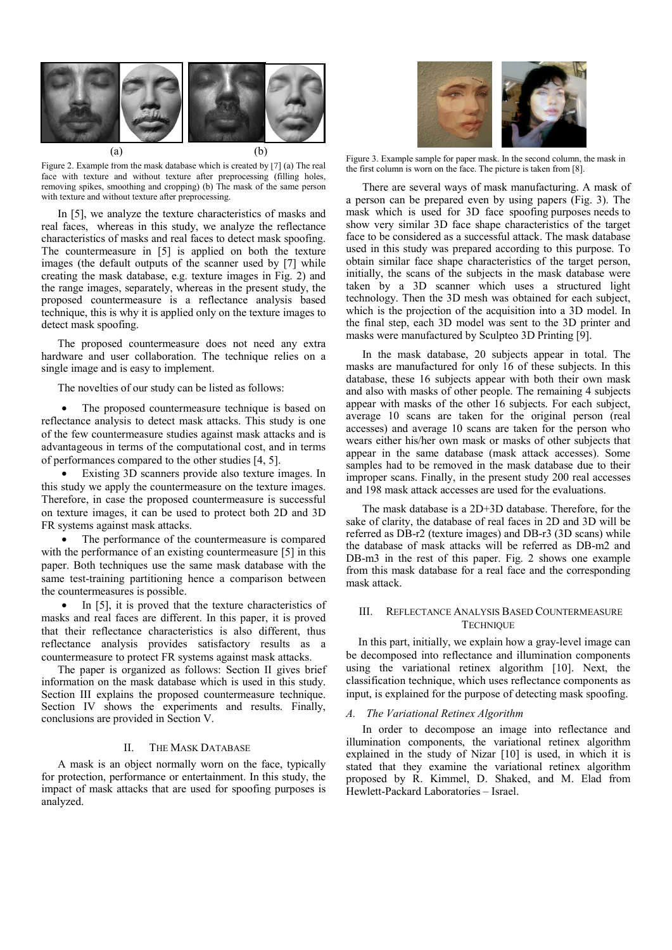

Figure 2. Example from the mask database which is created by [7] (a) The real face with texture and without texture after preprocessing (filling holes, removing spikes, smoothing and cropping) (b) The mask of the same person with texture and without texture after preprocessing.

In [5], we analyze the texture characteristics of masks and real faces, whereas in this study, we analyze the reflectance characteristics of masks and real faces to detect mask spoofing. The countermeasure in [5] is applied on both the texture images (the default outputs of the scanner used by [7] while creating the mask database, e.g. texture images in Fig. 2) and the range images, separately, whereas in the present study, the proposed countermeasure is a reflectance analysis based technique, this is why it is applied only on the texture images to detect mask spoofing.

The proposed countermeasure does not need any extra hardware and user collaboration. The technique relies on a single image and is easy to implement.

The novelties of our study can be listed as follows:

The proposed countermeasure technique is based on reflectance analysis to detect mask attacks. This study is one of the few countermeasure studies against mask attacks and is advantageous in terms of the computational cost, and in terms of performances compared to the other studies [4, 5].

• Existing 3D scanners provide also texture images. In this study we apply the countermeasure on the texture images. Therefore, in case the proposed countermeasure is successful on texture images, it can be used to protect both 2D and 3D FR systems against mask attacks.

The performance of the countermeasure is compared with the performance of an existing countermeasure [5] in this paper. Both techniques use the same mask database with the same test-training partitioning hence a comparison between the countermeasures is possible.

In [5], it is proved that the texture characteristics of masks and real faces are different. In this paper, it is proved that their reflectance characteristics is also different, thus reflectance analysis provides satisfactory results as a countermeasure to protect FR systems against mask attacks.

The paper is organized as follows: Section II gives brief information on the mask database which is used in this study. Section III explains the proposed countermeasure technique. Section IV shows the experiments and results. Finally, conclusions are provided in Section V.

## II. THE MASK DATABASE

A mask is an object normally worn on the face, typically for protection, performance or entertainment. In this study, the impact of mask attacks that are used for spoofing purposes is analyzed.



Figure 3. Example sample for paper mask. In the second column, the mask in the first column is worn on the face. The picture is taken from [8].

There are several ways of mask manufacturing. A mask of a person can be prepared even by using papers (Fig. 3). The mask which is used for 3D face spoofing purposes needs to show very similar 3D face shape characteristics of the target face to be considered as a successful attack. The mask database used in this study was prepared according to this purpose. To obtain similar face shape characteristics of the target person, initially, the scans of the subjects in the mask database were taken by a 3D scanner which uses a structured light technology. Then the 3D mesh was obtained for each subject, which is the projection of the acquisition into a 3D model. In the final step, each 3D model was sent to the 3D printer and masks were manufactured by Sculpteo 3D Printing [9].

In the mask database, 20 subjects appear in total. The masks are manufactured for only 16 of these subjects. In this database, these 16 subjects appear with both their own mask and also with masks of other people. The remaining 4 subjects appear with masks of the other 16 subjects. For each subject, average 10 scans are taken for the original person (real accesses) and average 10 scans are taken for the person who wears either his/her own mask or masks of other subjects that appear in the same database (mask attack accesses). Some samples had to be removed in the mask database due to their improper scans. Finally, in the present study 200 real accesses and 198 mask attack accesses are used for the evaluations.

The mask database is a 2D+3D database. Therefore, for the sake of clarity, the database of real faces in 2D and 3D will be referred as DB-r2 (texture images) and DB-r3 (3D scans) while the database of mask attacks will be referred as DB-m2 and DB-m3 in the rest of this paper. Fig. 2 shows one example from this mask database for a real face and the corresponding mask attack.

# III. REFLECTANCE ANALYSIS BASED COUNTERMEASURE **TECHNIQUE**

In this part, initially, we explain how a gray-level image can be decomposed into reflectance and illumination components using the variational retinex algorithm [10]. Next, the classification technique, which uses reflectance components as input, is explained for the purpose of detecting mask spoofing.

# *A. The Variational Retinex Algorithm*

In order to decompose an image into reflectance and illumination components, the variational retinex algorithm explained in the study of Nizar [10] is used, in which it is stated that they examine the variational retinex algorithm proposed by R. Kimmel, D. Shaked, and M. Elad from Hewlett-Packard Laboratories – Israel.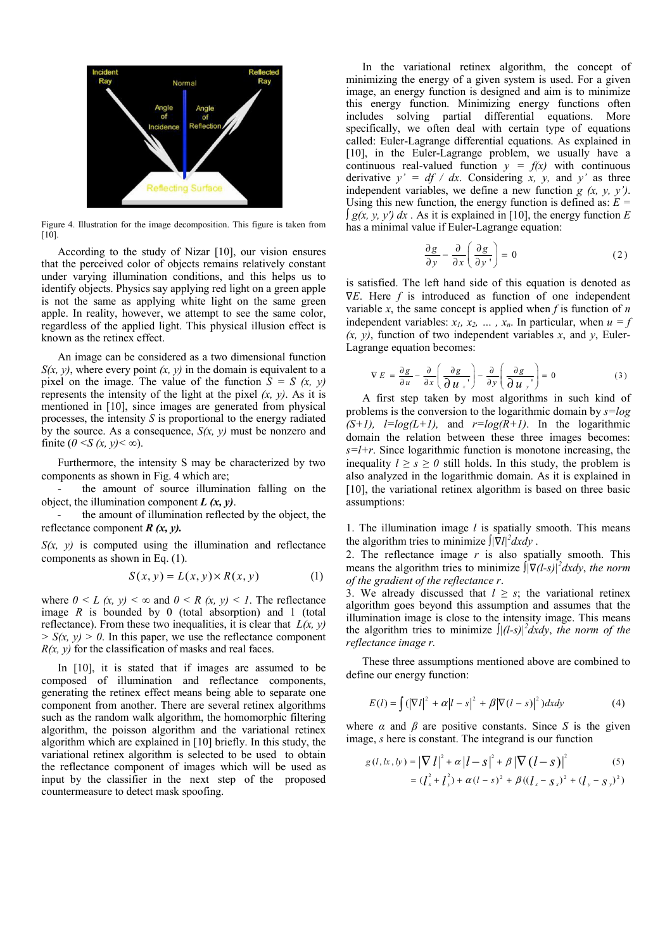

Figure 4. Illustration for the image decomposition. This figure is taken from [10].

According to the study of Nizar [10], our vision ensures that the perceived color of objects remains relatively constant under varying illumination conditions, and this helps us to identify objects. Physics say applying red light on a green apple is not the same as applying white light on the same green apple. In reality, however, we attempt to see the same color, regardless of the applied light. This physical illusion effect is known as the retinex effect.

An image can be considered as a two dimensional function *S(x, y)*, where every point *(x, y)* in the domain is equivalent to a pixel on the image. The value of the function  $S = S(x, y)$ represents the intensity of the light at the pixel  $(x, y)$ . As it is mentioned in [10], since images are generated from physical processes, the intensity *S* is proportional to the energy radiated by the source. As a consequence,  $S(x, y)$  must be nonzero and finite ( $0 \leq S(x, y) \leq \infty$ ).

Furthermore, the intensity S may be characterized by two components as shown in Fig. 4 which are;

the amount of source illumination falling on the object, the illumination component  $L(x, y)$ .

- the amount of illumination reflected by the object, the reflectance component *R (x, y).*

 $S(x, y)$  is computed using the illumination and reflectance components as shown in Eq. (1).

$$
S(x, y) = L(x, y) \times R(x, y)
$$
 (1)

where  $0 \le L(x, y) \le \infty$  and  $0 \le R(x, y) \le I$ . The reflectance image  $R$  is bounded by 0 (total absorption) and 1 (total reflectance). From these two inequalities, it is clear that  $L(x, y)$  $> S(x, y) > 0$ . In this paper, we use the reflectance component  $R(x, y)$  for the classification of masks and real faces.

In [10], it is stated that if images are assumed to be composed of illumination and reflectance components, generating the retinex effect means being able to separate one component from another. There are several retinex algorithms such as the random walk algorithm, the homomorphic filtering algorithm, the poisson algorithm and the variational retinex algorithm which are explained in [10] briefly. In this study, the variational retinex algorithm is selected to be used to obtain the reflectance component of images which will be used as input by the classifier in the next step of the proposed countermeasure to detect mask spoofing.

In the variational retinex algorithm, the concept of minimizing the energy of a given system is used. For a given image, an energy function is designed and aim is to minimize this energy function. Minimizing energy functions often includes solving partial differential equations. More specifically, we often deal with certain type of equations called: Euler-Lagrange differential equations. As explained in [10], in the Euler-Lagrange problem, we usually have a continuous real-valued function  $y = f(x)$  with continuous derivative  $y' = df / dx$ . Considering *x*, *y*, and *y'* as three independent variables, we define a new function *g (x, y, y')*. Using this new function, the energy function is defined as:  $E =$ *∫ g(x, y, y') dx* . As it is explained in [10], the energy function *E* has a minimal value if Euler-Lagrange equation:

$$
\frac{\partial g}{\partial y} - \frac{\partial}{\partial x} \left( \frac{\partial g}{\partial y'} \right) = 0 \tag{2}
$$

is satisfied. The left hand side of this equation is denoted as ∇*E*. Here *f* is introduced as function of one independent variable *x*, the same concept is applied when  $f$  is function of  $n$ independent variables:  $x_1, x_2, \ldots, x_n$ . In particular, when  $u = f$  $(x, y)$ , function of two independent variables *x*, and *y*, Euler-Lagrange equation becomes:

$$
\nabla E = \frac{\partial g}{\partial u} - \frac{\partial}{\partial x} \left( \frac{\partial g}{\partial u} \right) - \frac{\partial}{\partial y} \left( \frac{\partial g}{\partial u} \right) = 0
$$
 (3)

A first step taken by most algorithms in such kind of problems is the conversion to the logarithmic domain by *s=log*   $(S+1)$ ,  $l=log(L+1)$ , and  $r=log(R+1)$ . In the logarithmic domain the relation between these three images becomes:  $s=l+r$ . Since logarithmic function is monotone increasing, the inequality  $l \geq s \geq 0$  still holds. In this study, the problem is also analyzed in the logarithmic domain. As it is explained in [10], the variational retinex algorithm is based on three basic assumptions:

1. The illumination image *l* is spatially smooth. This means the algorithm tries to minimize  $\int |\nabla l|^2 dxdy$ .

2. The reflectance image *r* is also spatially smooth. This means the algorithm tries to minimize *∫|*∇*(l-s)|<sup>2</sup> dxdy*, *the norm of the gradient of the reflectance r*.

3. We already discussed that  $l \geq s$ ; the variational retinex algorithm goes beyond this assumption and assumes that the illumination image is close to the intensity image. This means the algorithm tries to minimize  $\int (1-s)^2 dx dy$ , the norm of the *reflectance image r.* 

These three assumptions mentioned above are combined to define our energy function:

$$
E(l) = \int (|\nabla l|^2 + \alpha |l - s|^2 + \beta |\nabla (l - s)|^2) dxdy \tag{4}
$$

where  $\alpha$  and  $\beta$  are positive constants. Since *S* is the given image, *s* here is constant. The integrand is our function

$$
g(l, k, ly) = |\nabla l|^2 + \alpha |l - s|^2 + \beta |\nabla (l - s)|^2
$$
\n
$$
= (l_x^2 + l_y^2) + \alpha (l - s)^2 + \beta ((l_x - s_x)^2 + (l_y - s_y)^2)
$$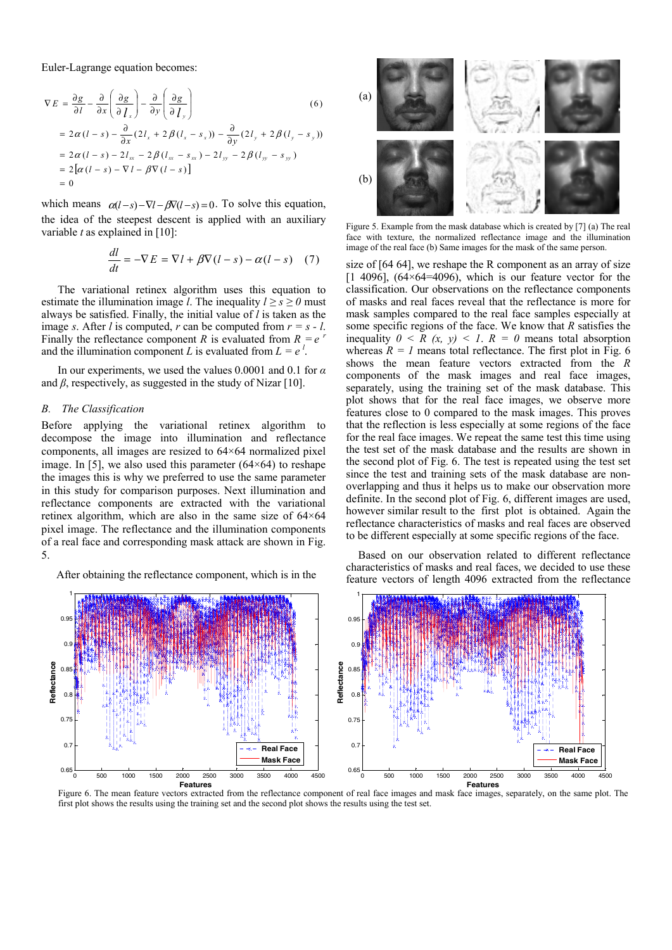Euler-Lagrange equation becomes:

$$
\nabla E = \frac{\partial g}{\partial l} - \frac{\partial}{\partial x} \left( \frac{\partial g}{\partial l_x} \right) - \frac{\partial}{\partial y} \left( \frac{\partial g}{\partial l_y} \right)
$$
(6)  
=  $2\alpha (l - s) - \frac{\partial}{\partial x} (2l_x + 2\beta (l_x - s_x)) - \frac{\partial}{\partial y} (2l_y + 2\beta (l_y - s_y))$   
=  $2\alpha (l - s) - 2l_{xx} - 2\beta (l_{xx} - s_{xx}) - 2l_{yy} - 2\beta (l_{yy} - s_{yy})$   
=  $2[\alpha (l - s) - \nabla l - \beta \nabla (l - s)]$   
= 0

which means  $\alpha(l-s) - \nabla l - \beta \nabla (l-s) = 0$ . To solve this equation, the idea of the steepest descent is applied with an auxiliary variable *t* as explained in [10]:

$$
\frac{dl}{dt} = -\nabla E = \nabla l + \beta \nabla (l - s) - \alpha (l - s) \quad (7)
$$

The variational retinex algorithm uses this equation to estimate the illumination image *l*. The inequality  $l \geq s \geq 0$  must always be satisfied. Finally, the initial value of *l* is taken as the image *s*. After *l* is computed, *r* can be computed from  $r = s - l$ . Finally the reflectance component *R* is evaluated from  $R = e^{r}$ and the illumination component *L* is evaluated from  $L = e^l$ .

In our experiments, we used the values 0.0001 and 0.1 for *α* and *β*, respectively, as suggested in the study of Nizar [10].

# *B. The Classification*

 $\Omega$ 

0.75

 $\Omega$ 

0.8

**Reflectance**

Reflectance

 $\Omega$ 

0.95

1

Before applying the variational retinex algorithm to decompose the image into illumination and reflectance components, all images are resized to 64×64 normalized pixel image. In [5], we also used this parameter  $(64\times64)$  to reshape the images this is why we preferred to use the same parameter in this study for comparison purposes. Next illumination and reflectance components are extracted with the variational retinex algorithm, which are also in the same size of  $64\times64$ pixel image. The reflectance and the illumination components of a real face and corresponding mask attack are shown in Fig. 5.

After obtaining the reflectance component, which is in the



Figure 5. Example from the mask database which is created by [7] (a) The real face with texture, the normalized reflectance image and the illumination image of the real face (b) Same images for the mask of the same person.

size of [64 64], we reshape the R component as an array of size [1 4096],  $(64 \times 64 = 4096)$ , which is our feature vector for the classification. Our observations on the reflectance components of masks and real faces reveal that the reflectance is more for mask samples compared to the real face samples especially at some specific regions of the face. We know that *R* satisfies the inequality  $0 \le R$   $(x, y) \le I$ .  $R = 0$  means total absorption whereas  $R = 1$  means total reflectance. The first plot in Fig. 6 shows the mean feature vectors extracted from the *R* components of the mask images and real face images, separately, using the training set of the mask database. This plot shows that for the real face images, we observe more features close to 0 compared to the mask images. This proves that the reflection is less especially at some regions of the face for the real face images. We repeat the same test this time using the test set of the mask database and the results are shown in the second plot of Fig. 6. The test is repeated using the test set since the test and training sets of the mask database are nonoverlapping and thus it helps us to make our observation more definite. In the second plot of Fig. 6, different images are used, however similar result to the first plot is obtained. Again the reflectance characteristics of masks and real faces are observed to be different especially at some specific regions of the face.

Based on our observation related to different reflectance characteristics of masks and real faces, we decided to use these feature vectors of length 4096 extracted from the reflectance



Figure 6. The mean feature vectors extracted from the reflectance component of real face images and mask face images, separately, on the same plot. The first plot shows the results using the training set and the second plot shows the results using the test set.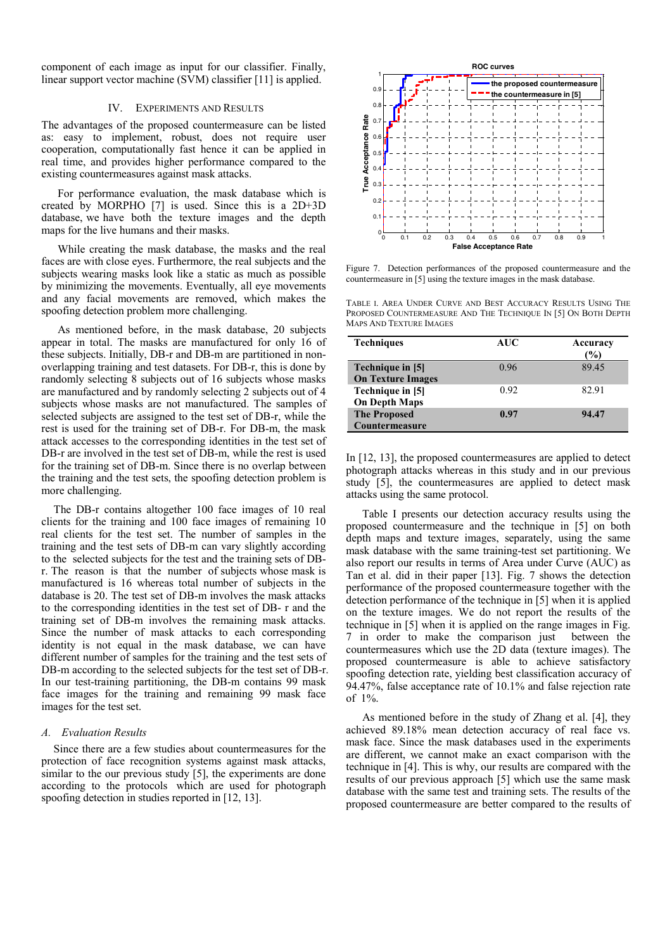component of each image as input for our classifier. Finally, linear support vector machine (SVM) classifier [11] is applied.

## IV. EXPERIMENTS AND RESULTS

The advantages of the proposed countermeasure can be listed as: easy to implement, robust, does not require user cooperation, computationally fast hence it can be applied in real time, and provides higher performance compared to the existing countermeasures against mask attacks.

For performance evaluation, the mask database which is created by MORPHO [7] is used. Since this is a 2D+3D database, we have both the texture images and the depth maps for the live humans and their masks.

While creating the mask database, the masks and the real faces are with close eyes. Furthermore, the real subjects and the subjects wearing masks look like a static as much as possible by minimizing the movements. Eventually, all eye movements and any facial movements are removed, which makes the spoofing detection problem more challenging.

As mentioned before, in the mask database, 20 subjects appear in total. The masks are manufactured for only 16 of these subjects. Initially, DB-r and DB-m are partitioned in nonoverlapping training and test datasets. For DB-r, this is done by randomly selecting 8 subjects out of 16 subjects whose masks are manufactured and by randomly selecting 2 subjects out of 4 subjects whose masks are not manufactured. The samples of selected subjects are assigned to the test set of DB-r, while the rest is used for the training set of DB-r. For DB-m, the mask attack accesses to the corresponding identities in the test set of DB-r are involved in the test set of DB-m, while the rest is used for the training set of DB-m. Since there is no overlap between the training and the test sets, the spoofing detection problem is more challenging.

The DB-r contains altogether 100 face images of 10 real clients for the training and 100 face images of remaining 10 real clients for the test set. The number of samples in the training and the test sets of DB-m can vary slightly according to the selected subjects for the test and the training sets of DBr. The reason is that the number of subjects whose mask is manufactured is 16 whereas total number of subjects in the database is 20. The test set of DB-m involves the mask attacks to the corresponding identities in the test set of DB- r and the training set of DB-m involves the remaining mask attacks. Since the number of mask attacks to each corresponding identity is not equal in the mask database, we can have different number of samples for the training and the test sets of DB-m according to the selected subjects for the test set of DB-r. In our test-training partitioning, the DB-m contains 99 mask face images for the training and remaining 99 mask face images for the test set.

## *A. Evaluation Results*

Since there are a few studies about countermeasures for the protection of face recognition systems against mask attacks, similar to the our previous study [5], the experiments are done according to the protocols which are used for photograph spoofing detection in studies reported in [12, 13].



Figure 7. Detection performances of the proposed countermeasure and the countermeasure in [5] using the texture images in the mask database.

TABLE I. AREA UNDER CURVE AND BEST ACCURACY RESULTS USING THE PROPOSED COUNTERMEASURE AND THE TECHNIQUE IN [5] ON BOTH DEPTH MAPS AND TEXTURE IMAGES

| <b>Techniques</b>                            | <b>AUC</b> | Accuracy<br>$\frac{1}{2}$ |
|----------------------------------------------|------------|---------------------------|
| Technique in [5]<br><b>On Texture Images</b> | 0.96       | 8945                      |
| Technique in [5]<br><b>On Depth Maps</b>     | 0.92       | 82.91                     |
| <b>The Proposed</b><br>Countermeasure        | 0.97       | 94.47                     |

In [12, 13], the proposed countermeasures are applied to detect photograph attacks whereas in this study and in our previous study [5], the countermeasures are applied to detect mask attacks using the same protocol.

Table I presents our detection accuracy results using the proposed countermeasure and the technique in [5] on both depth maps and texture images, separately, using the same mask database with the same training-test set partitioning. We also report our results in terms of Area under Curve (AUC) as Tan et al. did in their paper [13]. Fig. 7 shows the detection performance of the proposed countermeasure together with the detection performance of the technique in [5] when it is applied on the texture images. We do not report the results of the technique in [5] when it is applied on the range images in Fig. 7 in order to make the comparison just between the countermeasures which use the 2D data (texture images). The proposed countermeasure is able to achieve satisfactory spoofing detection rate, yielding best classification accuracy of 94.47%, false acceptance rate of 10.1% and false rejection rate of 1%.

As mentioned before in the study of Zhang et al. [4], they achieved 89.18% mean detection accuracy of real face vs. mask face. Since the mask databases used in the experiments are different, we cannot make an exact comparison with the technique in [4]. This is why, our results are compared with the results of our previous approach [5] which use the same mask database with the same test and training sets. The results of the proposed countermeasure are better compared to the results of